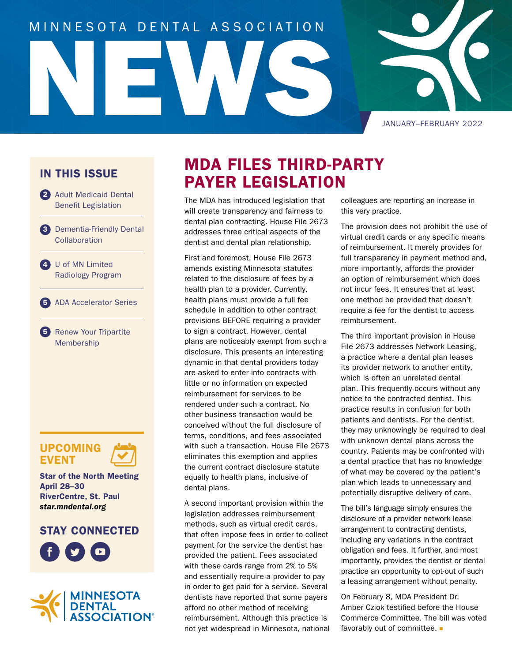# NEWS MINNESOTA DENTAL ASSOCIATION

JANUARY–FEBRUARY 2022

#### IN THIS ISSUE

- 2 Adult Medicaid Dental Benefit Legislation
- 3 Dementia-Friendly Dental **Collaboration**
- 4 U of MN Limited Radiology Program

5 ADA Accelerator Series

5 Renew Your Tripartite Membership

#### UPCOMING **EVENT**

Star of the North Meeting April 28–30 RiverCentre, St. Paul *[star.mndental.org](https://star.mndental.org/)*

#### STAY CONNECTED





## MDA FILES THIRD-PARTY PAYER LEGISLATION

The MDA has introduced legislation that will create transparency and fairness to dental plan contracting. House File 2673 addresses three critical aspects of the dentist and dental plan relationship.

First and foremost, House File 2673 amends existing Minnesota statutes related to the disclosure of fees by a health plan to a provider. Currently, health plans must provide a full fee schedule in addition to other contract provisions BEFORE requiring a provider to sign a contract. However, dental plans are noticeably exempt from such a disclosure. This presents an interesting dynamic in that dental providers today are asked to enter into contracts with little or no information on expected reimbursement for services to be rendered under such a contract. No other business transaction would be conceived without the full disclosure of terms, conditions, and fees associated with such a transaction. House File 2673 eliminates this exemption and applies the current contract disclosure statute equally to health plans, inclusive of dental plans.

A second important provision within the legislation addresses reimbursement methods, such as virtual credit cards, that often impose fees in order to collect payment for the service the dentist has provided the patient. Fees associated with these cards range from 2% to 5% and essentially require a provider to pay in order to get paid for a service. Several dentists have reported that some payers afford no other method of receiving reimbursement. Although this practice is not yet widespread in Minnesota, national

colleagues are reporting an increase in this very practice.

The provision does not prohibit the use of virtual credit cards or any specific means of reimbursement. It merely provides for full transparency in payment method and, more importantly, affords the provider an option of reimbursement which does not incur fees. It ensures that at least one method be provided that doesn't require a fee for the dentist to access reimbursement.

The third important provision in House File 2673 addresses Network Leasing, a practice where a dental plan leases its provider network to another entity, which is often an unrelated dental plan. This frequently occurs without any notice to the contracted dentist. This practice results in confusion for both patients and dentists. For the dentist, they may unknowingly be required to deal with unknown dental plans across the country. Patients may be confronted with a dental practice that has no knowledge of what may be covered by the patient's plan which leads to unnecessary and potentially disruptive delivery of care.

The bill's language simply ensures the disclosure of a provider network lease arrangement to contracting dentists, including any variations in the contract obligation and fees. It further, and most importantly, provides the dentist or dental practice an opportunity to opt-out of such a leasing arrangement without penalty.

On February 8, MDA President Dr. Amber Cziok testified before the House Commerce Committee. The bill was voted favorably out of committee.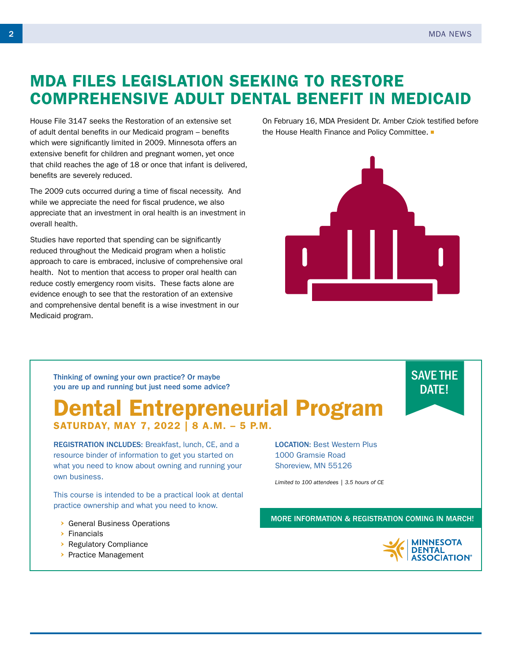# MDA FILES LEGISLATION SEEKING TO RESTORE COMPREHENSIVE ADULT DENTAL BENEFIT IN MEDICAID

House File 3147 seeks the Restoration of an extensive set of adult dental benefits in our Medicaid program – benefits which were significantly limited in 2009. Minnesota offers an extensive benefit for children and pregnant women, yet once that child reaches the age of 18 or once that infant is delivered, benefits are severely reduced.

The 2009 cuts occurred during a time of fiscal necessity. And while we appreciate the need for fiscal prudence, we also appreciate that an investment in oral health is an investment in overall health.

Studies have reported that spending can be significantly reduced throughout the Medicaid program when a holistic approach to care is embraced, inclusive of comprehensive oral health. Not to mention that access to proper oral health can reduce costly emergency room visits. These facts alone are evidence enough to see that the restoration of an extensive and comprehensive dental benefit is a wise investment in our Medicaid program.

On February 16, MDA President Dr. Amber Cziok testified before the House Health Finance and Policy Committee.  $\blacksquare$ 



Thinking of owning your own practice? Or maybe you are up and running but just need some advice?

#### Dental Entrepreneurial Program SATURDAY, MAY 7, 2022 | 8 A.M. – 5 P.M.

REGISTRATION INCLUDES: Breakfast, lunch, CE, and a resource binder of information to get you started on what you need to know about owning and running your own business.

This course is intended to be a practical look at dental practice ownership and what you need to know.

- General Business Operations
- $\triangleright$  Financials
- ▶ Regulatory Compliance
- > Practice Management

LOCATION: Best Western Plus 1000 Gramsie Road Shoreview, MN 55126

*Limited to 100 attendees | 3.5 hours of CE*

MORE INFORMATION & REGISTRATION COMING IN MARCH!



SAVE THE DATE!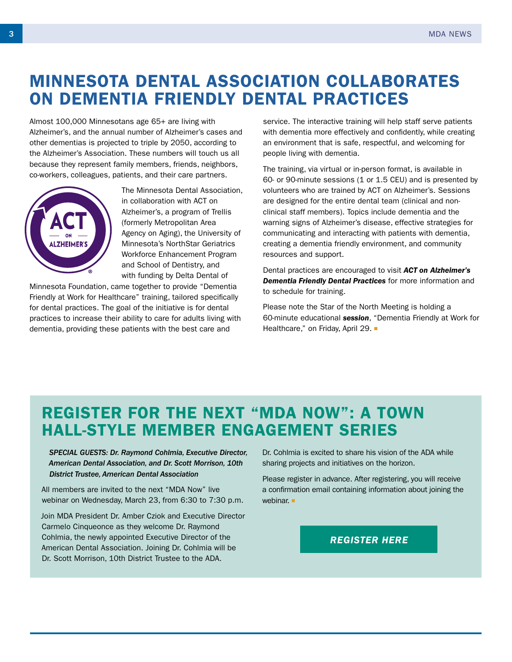# MINNESOTA DENTAL ASSOCIATION COLLABORATES ON DEMENTIA FRIENDLY DENTAL PRACTICES

Almost 100,000 Minnesotans age 65+ are living with Alzheimer's, and the annual number of Alzheimer's cases and other dementias is projected to triple by 2050, according to the Alzheimer's Association. These numbers will touch us all because they represent family members, friends, neighbors, co-workers, colleagues, patients, and their care partners.



The Minnesota Dental Association, in collaboration with ACT on Alzheimer's, a program of Trellis (formerly Metropolitan Area Agency on Aging), the University of Minnesota's NorthStar Geriatrics Workforce Enhancement Program and School of Dentistry, and with funding by Delta Dental of

Minnesota Foundation, came together to provide "Dementia Friendly at Work for Healthcare" training, tailored specifically for dental practices. The goal of the initiative is for dental practices to increase their ability to care for adults living with dementia, providing these patients with the best care and

service. The interactive training will help staff serve patients with dementia more effectively and confidently, while creating an environment that is safe, respectful, and welcoming for people living with dementia.

The training, via virtual or in-person format, is available in 60- or 90-minute sessions (1 or 1.5 CEU) and is presented by volunteers who are trained by ACT on Alzheimer's. Sessions are designed for the entire dental team (clinical and nonclinical staff members). Topics include dementia and the warning signs of Alzheimer's disease, effective strategies for communicating and interacting with patients with dementia, creating a dementia friendly environment, and community resources and support.

Dental practices are encouraged to visit *ACT on [Alzheimer's](http://www.actonalz.org/dementia-friendly-work-healthcare)  [Dementia Friendly Dental Practices](http://www.actonalz.org/dementia-friendly-work-healthcare)* for more information and to schedule for training.

Please note the Star of the North Meeting is holding a 60-minute educational *[session](https://star.mndental.org/conference/agenda/seminars/?id=4583)*, "Dementia Friendly at Work for Healthcare," on Friday, April 29. ■

## REGISTER FOR THE NEXT "MDA NOW": A TOWN HALL-STYLE MEMBER ENGAGEMENT SERIES

*SPECIAL GUESTS: Dr. Raymond Cohlmia, Executive Director, American Dental Association, and Dr. Scott Morrison, 10th District Trustee, American Dental Association*

All members are invited to the next "MDA Now" live webinar on Wednesday, March 23, from 6:30 to 7:30 p.m.

Join MDA President Dr. Amber Cziok and Executive Director Carmelo Cinqueonce as they welcome Dr. Raymond Cohlmia, the newly appointed Executive Director of the American Dental Association. Joining Dr. Cohlmia will be Dr. Scott Morrison, 10th District Trustee to the ADA.

Dr. Cohlmia is excited to share his vision of the ADA while sharing projects and initiatives on the horizon.

Please register in advance. After registering, you will receive a confirmation email containing information about joining the webinar.

*[REGISTER HERE](https://us02web.zoom.us/webinar/register/WN_2g4H-gWoQBqYVBrlkdEMXA)*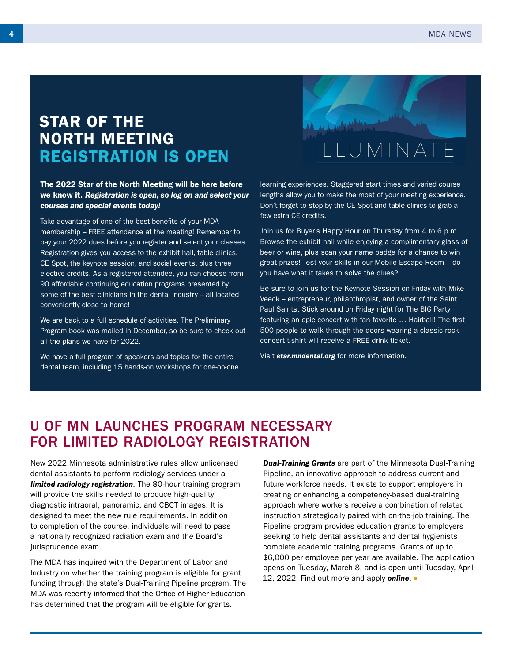### STAR OF THE NORTH MEETING REGISTRATION IS OPEN

#### The 2022 Star of the North Meeting will be here before we know it. *Registration is open, so log on and select your courses and special events today!*

Take advantage of one of the best benefits of your MDA membership – FREE attendance at the meeting! Remember to pay your 2022 dues before you register and select your classes. Registration gives you access to the exhibit hall, table clinics, CE Spot, the keynote session, and social events, plus three elective credits. As a registered attendee, you can choose from 90 affordable continuing education programs presented by some of the best clinicians in the dental industry – all located conveniently close to home!

We are back to a full schedule of activities. The Preliminary Program book was mailed in December, so be sure to check out all the plans we have for 2022.

We have a full program of speakers and topics for the entire dental team, including 15 hands-on workshops for one-on-one

learning experiences. Staggered start times and varied course lengths allow you to make the most of your meeting experience. Don't forget to stop by the CE Spot and table clinics to grab a few extra CE credits.

ILLUMINATE

Join us for Buyer's Happy Hour on Thursday from 4 to 6 p.m. Browse the exhibit hall while enjoying a complimentary glass of beer or wine, plus scan your name badge for a chance to win great prizes! Test your skills in our Mobile Escape Room – do you have what it takes to solve the clues?

Be sure to join us for the Keynote Session on Friday with Mike Veeck – entrepreneur, philanthropist, and owner of the Saint Paul Saints. Stick around on Friday night for The BIG Party featuring an epic concert with fan favorite … Hairball! The first 500 people to walk through the doors wearing a classic rock concert t-shirt will receive a FREE drink ticket.

Visit *[star.mndental.org](http://www.star.mndental.org)* for more information.

#### U OF MN LAUNCHES PROGRAM NECESSARY FOR LIMITED RADIOLOGY REGISTRATION

New 2022 Minnesota administrative rules allow unlicensed dental assistants to perform radiology services under a *[limited radiology registration](https://mn.gov/boards/dentistry/current-licensee/requirements/)*. The 80-hour training program will provide the skills needed to produce high-quality diagnostic intraoral, panoramic, and CBCT images. It is designed to meet the new rule requirements. In addition to completion of the course, individuals will need to pass a nationally recognized radiation exam and the Board's jurisprudence exam.

The MDA has inquired with the Department of Labor and Industry on whether the training program is eligible for grant funding through the state's Dual-Training Pipeline program. The MDA was recently informed that the Office of Higher Education has determined that the program will be eligible for grants.

*Dual-Training [Grants](https://send.mndental.org/t/j-i-fodidk-l-d/)* are part of the Minnesota Dual-Training Pipeline, an innovative approach to address current and future workforce needs. It exists to support employers in creating or enhancing a competency-based dual-training approach where workers receive a combination of related instruction strategically paired with on-the-job training. The Pipeline program provides education grants to employers seeking to help dental assistants and dental hygienists complete academic training programs. Grants of up to \$6,000 per employee per year are available. The application opens on Tuesday, March 8, and is open until Tuesday, April 12, 2022. Find out more and apply *[online](https://send.mndental.org/t/j-i-fodidk-l-h/)*.